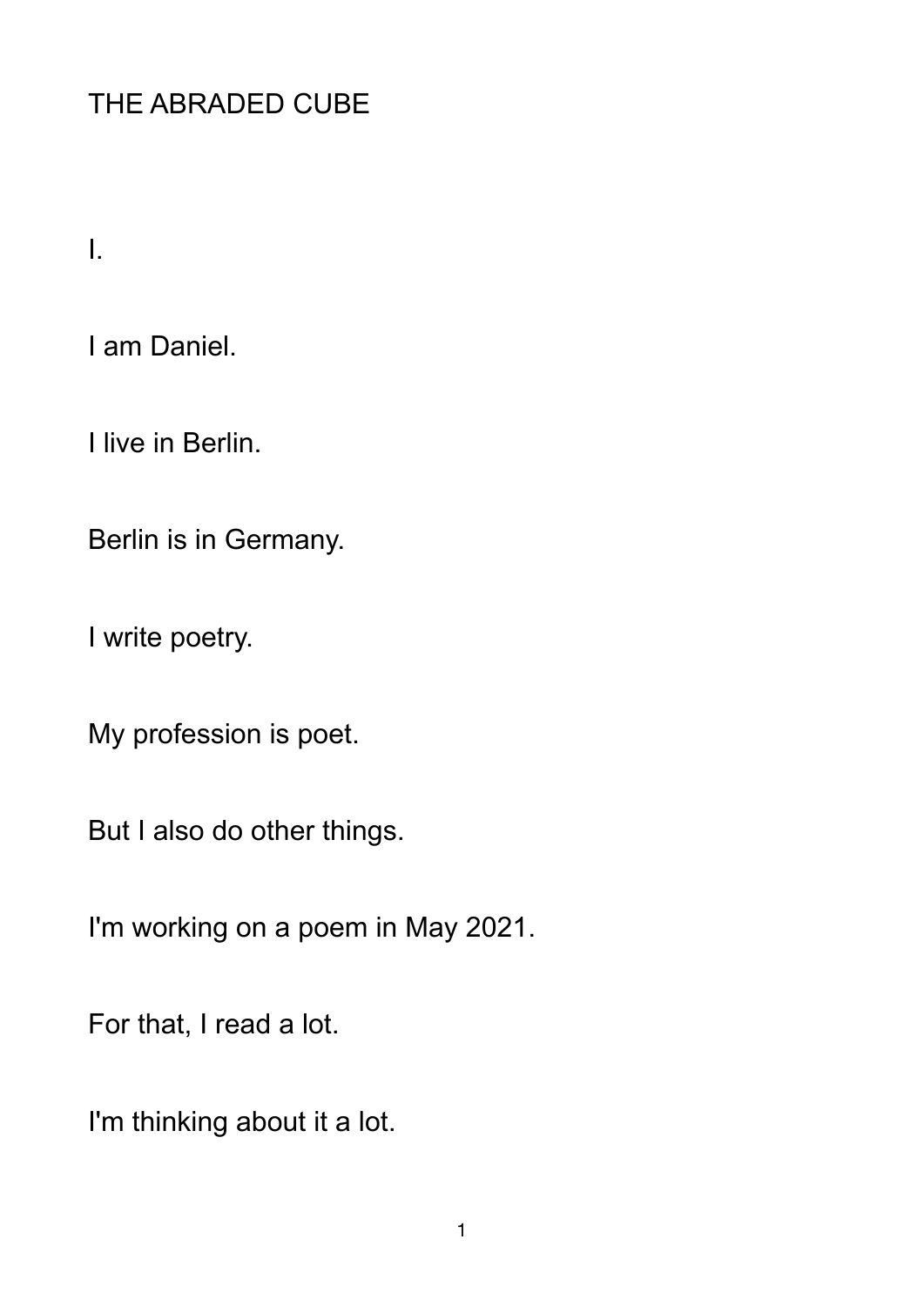## THE ABRADED CUBE

I.

I am Daniel.

I live in Berlin.

Berlin is in Germany.

I write poetry.

My profession is poet.

But I also do other things.

I'm working on a poem in May 2021.

For that, I read a lot.

I'm thinking about it a lot.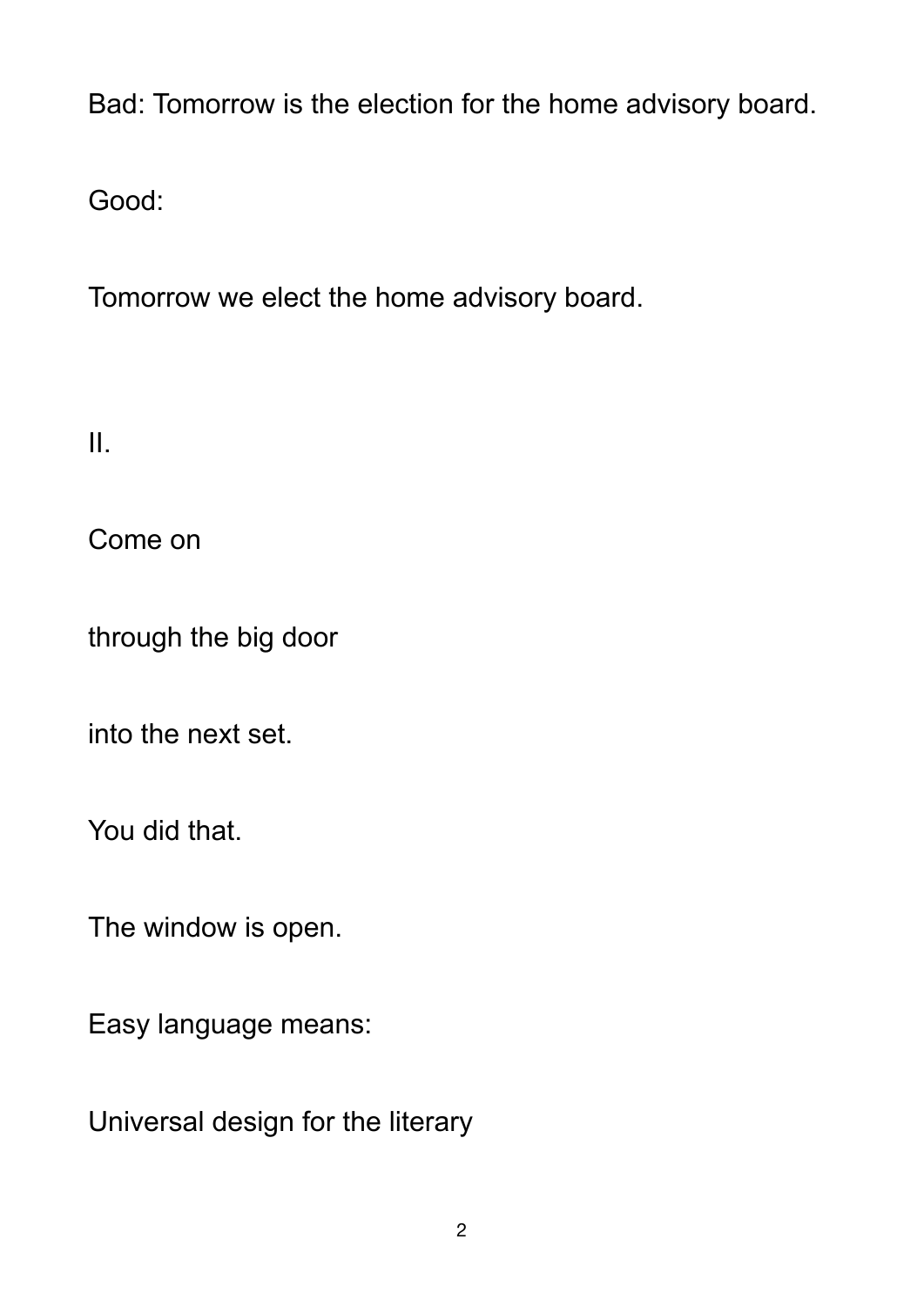Bad: Tomorrow is the election for the home advisory board.

Good:

Tomorrow we elect the home advisory board.

II.

Come on

through the big door

into the next set.

You did that.

The window is open.

Easy language means:

Universal design for the literary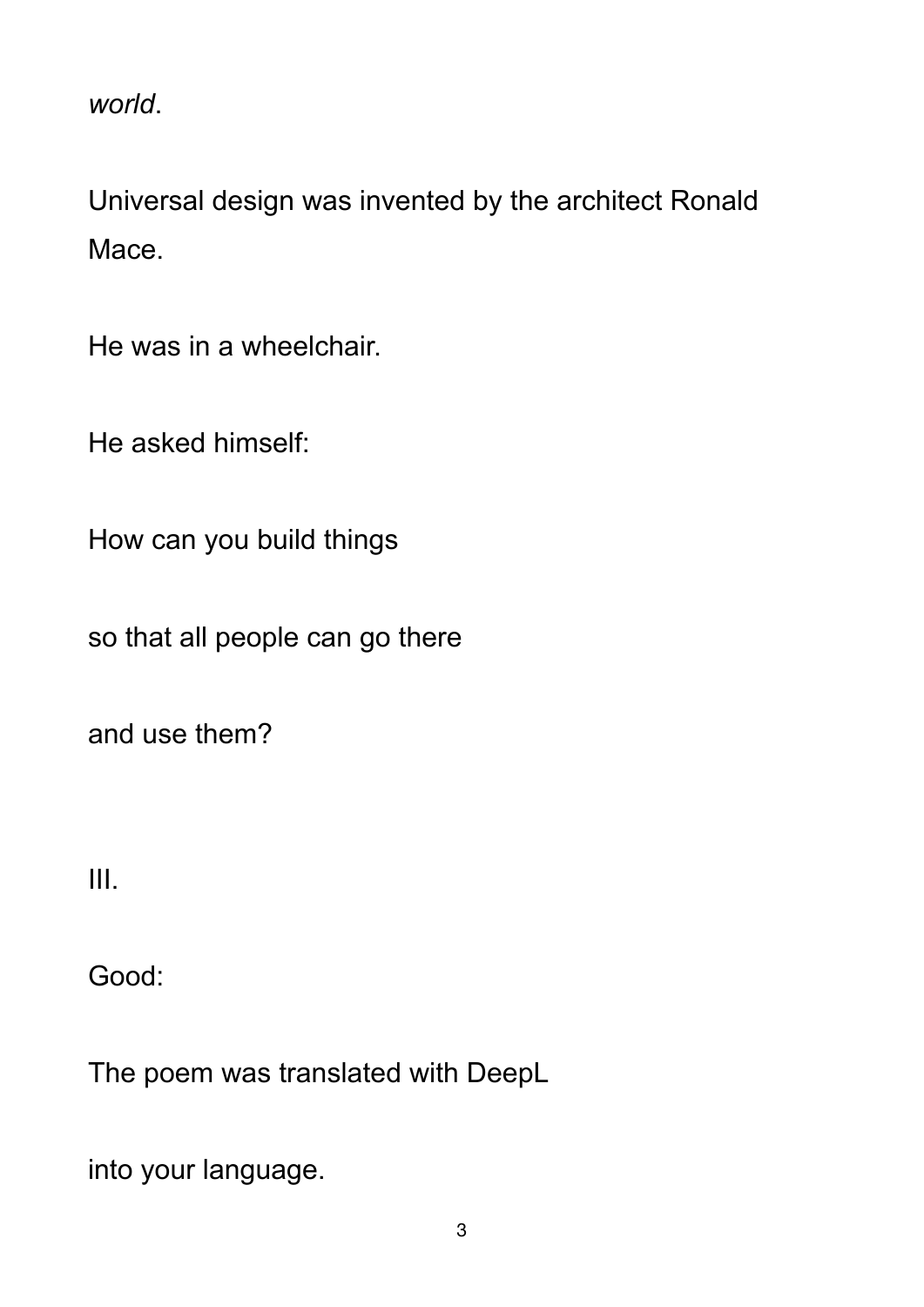*world*.

Universal design was invented by the architect Ronald Mace.

He was in a wheelchair.

He asked himself:

How can you build things

so that all people can go there

and use them?

III.

Good:

The poem was translated with DeepL

into your language.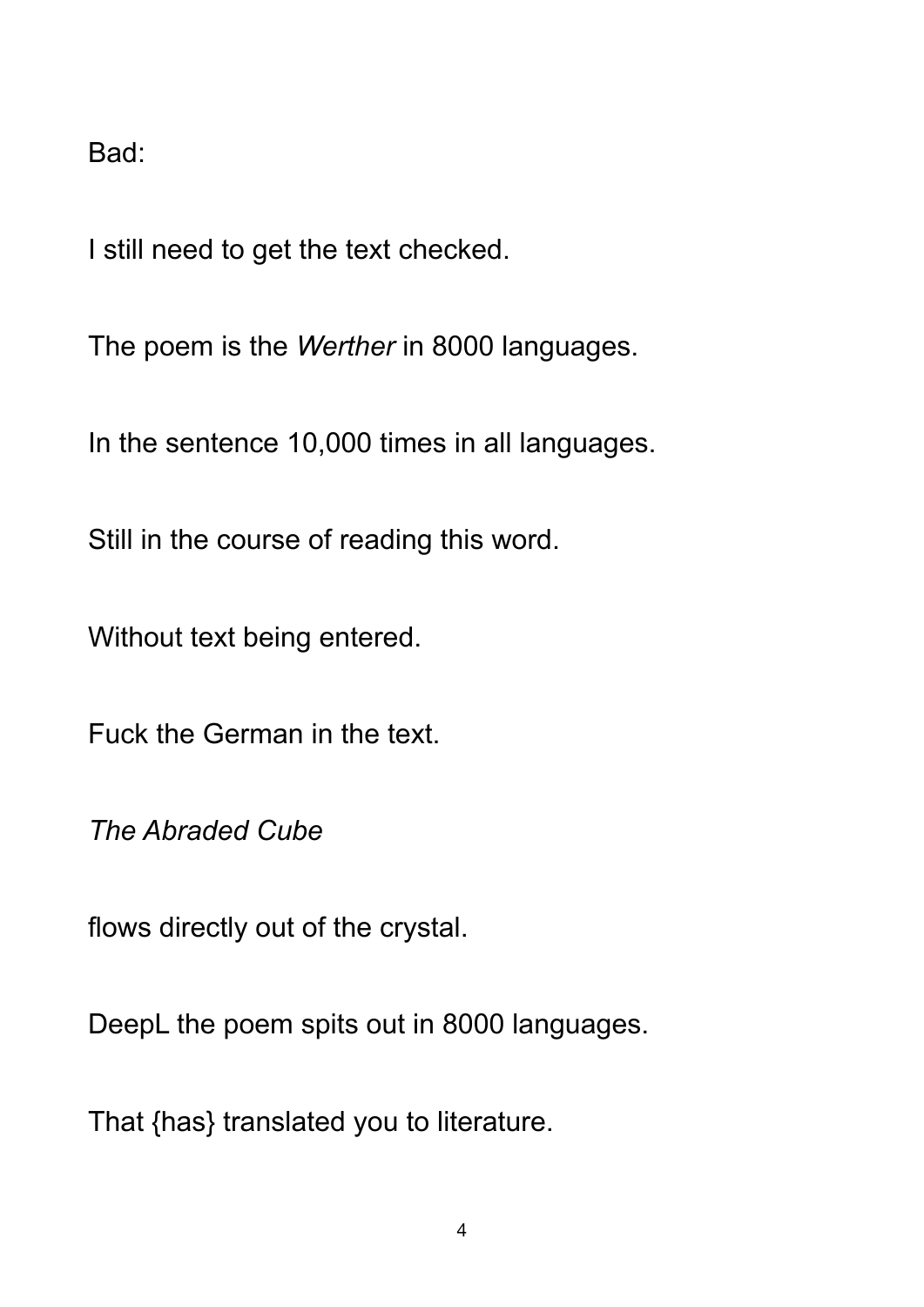Bad:

I still need to get the text checked.

The poem is the *Werther* in 8000 languages.

In the sentence 10,000 times in all languages.

Still in the course of reading this word.

Without text being entered.

Fuck the German in the text.

*The Abraded Cube* 

flows directly out of the crystal.

DeepL the poem spits out in 8000 languages.

That {has} translated you to literature.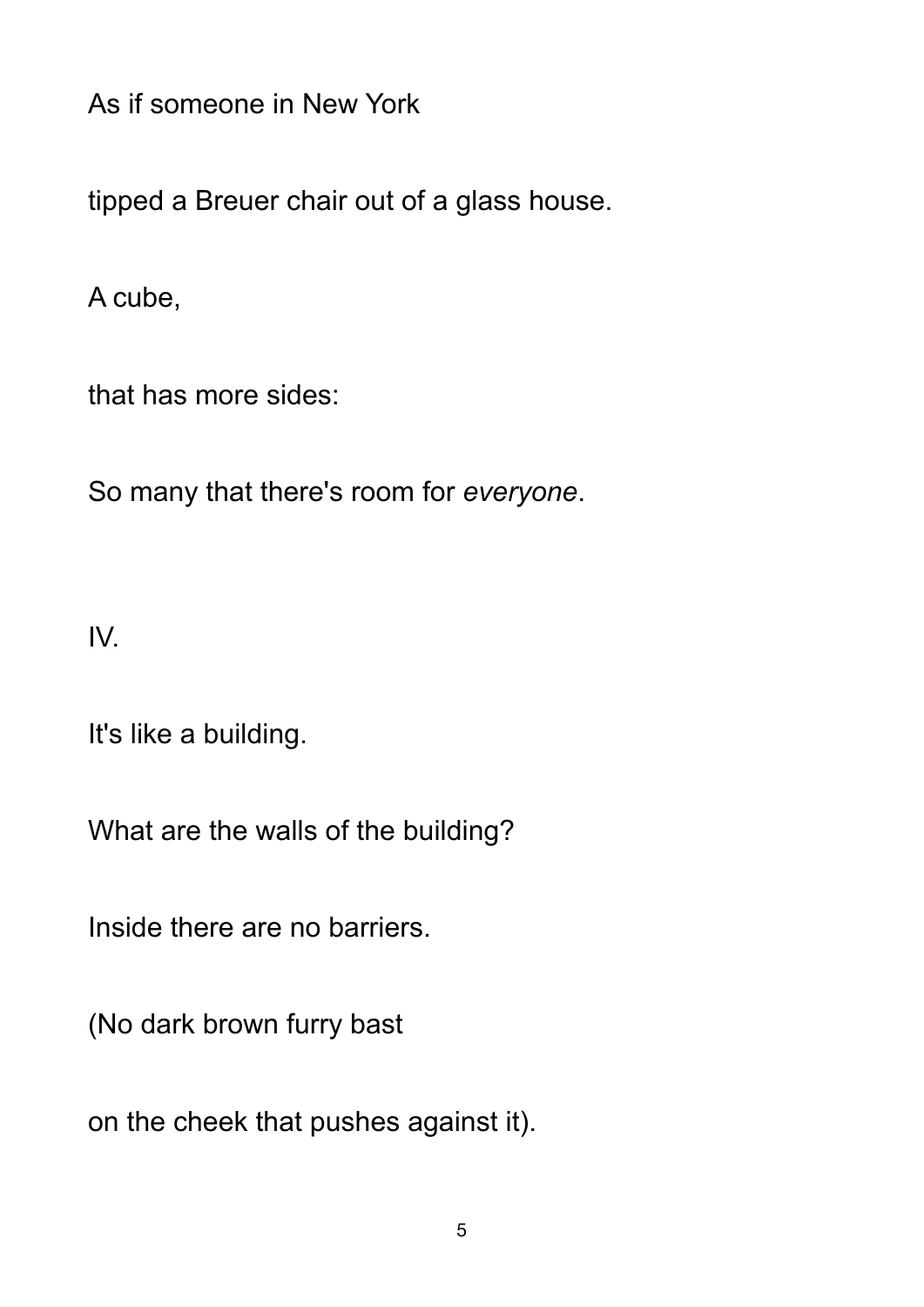As if someone in New York

tipped a Breuer chair out of a glass house.

A cube,

that has more sides:

So many that there's room for *everyone*.

IV.

It's like a building.

What are the walls of the building?

Inside there are no barriers.

(No dark brown furry bast

on the cheek that pushes against it).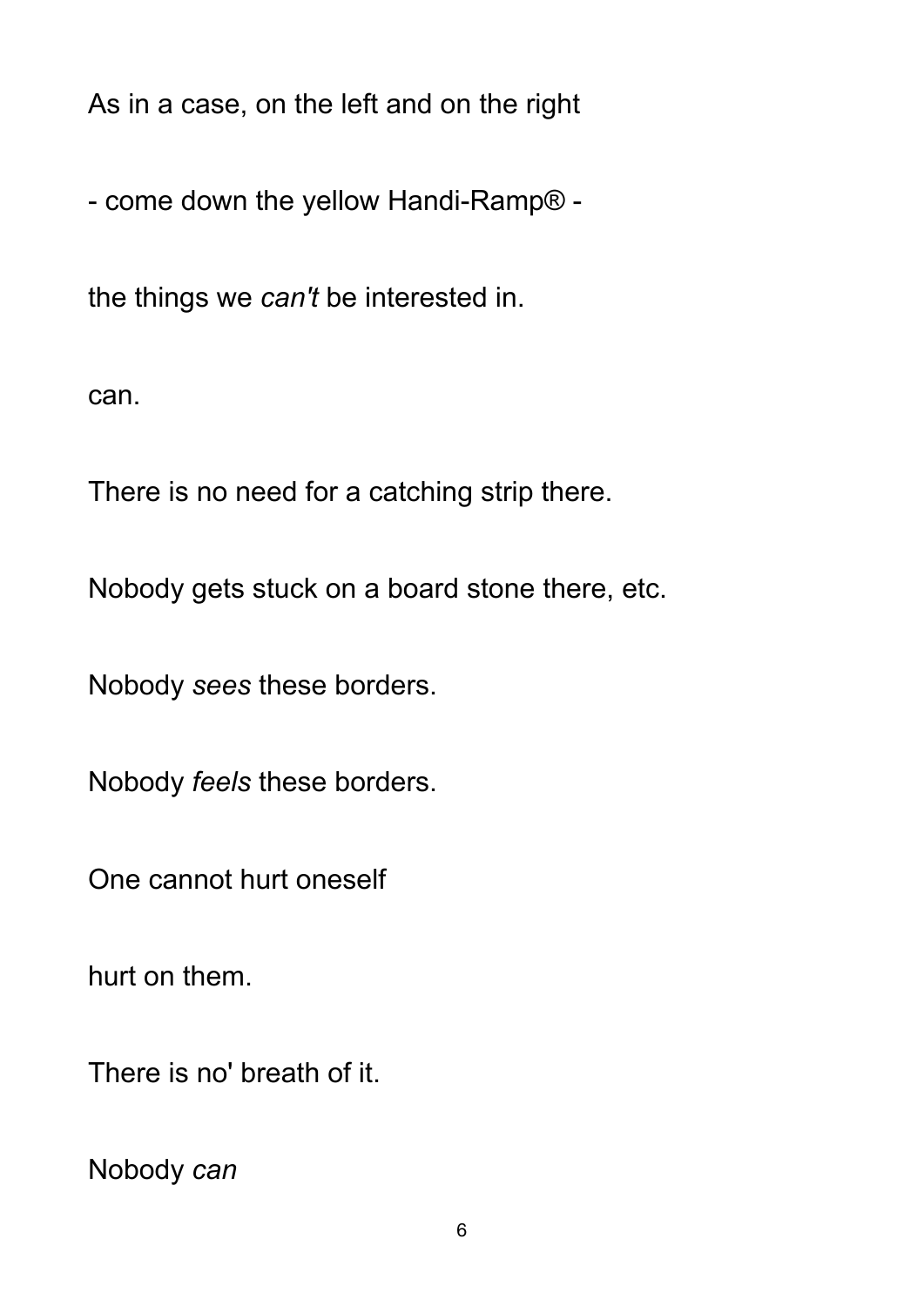As in a case, on the left and on the right

- come down the yellow Handi-Ramp® -

the things we *can't* be interested in.

can.

There is no need for a catching strip there.

Nobody gets stuck on a board stone there, etc.

Nobody *sees* these borders.

Nobody *feels* these borders.

One cannot hurt oneself

hurt on them.

There is no' breath of it.

Nobody *can*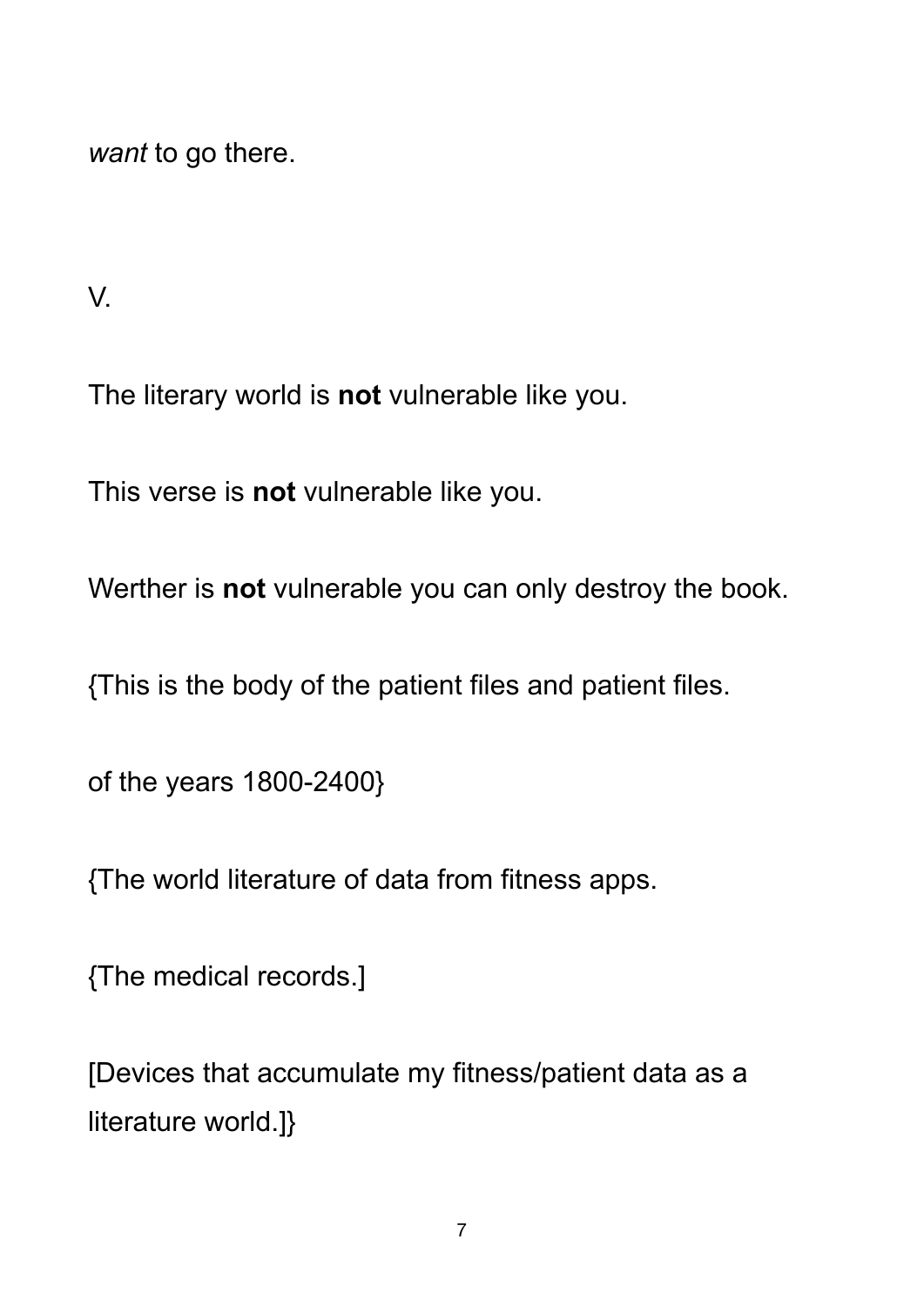*want* to go there.

V.

The literary world is **not** vulnerable like you.

This verse is **not** vulnerable like you.

Werther is **not** vulnerable you can only destroy the book.

{This is the body of the patient files and patient files.

of the years 1800-2400}

{The world literature of data from fitness apps.

{The medical records.]

[Devices that accumulate my fitness/patient data as a literature world.]}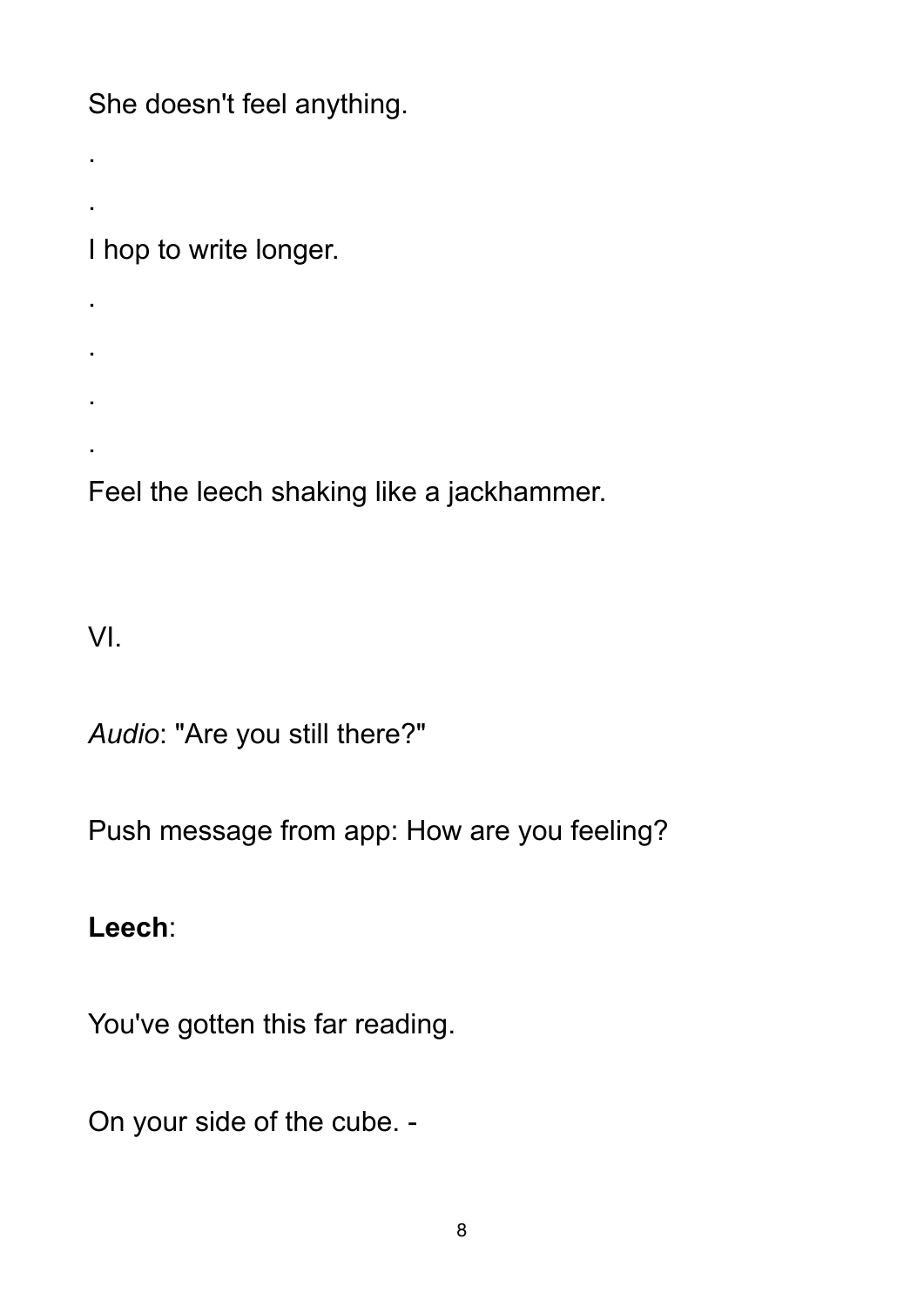She doesn't feel anything.

I hop to write longer.

. . .

Feel the leech shaking like a jackhammer.

VI.

.

.

.

*Audio*: "Are you still there?"

Push message from app: How are you feeling?

**Leech**:

You've gotten this far reading.

On your side of the cube. -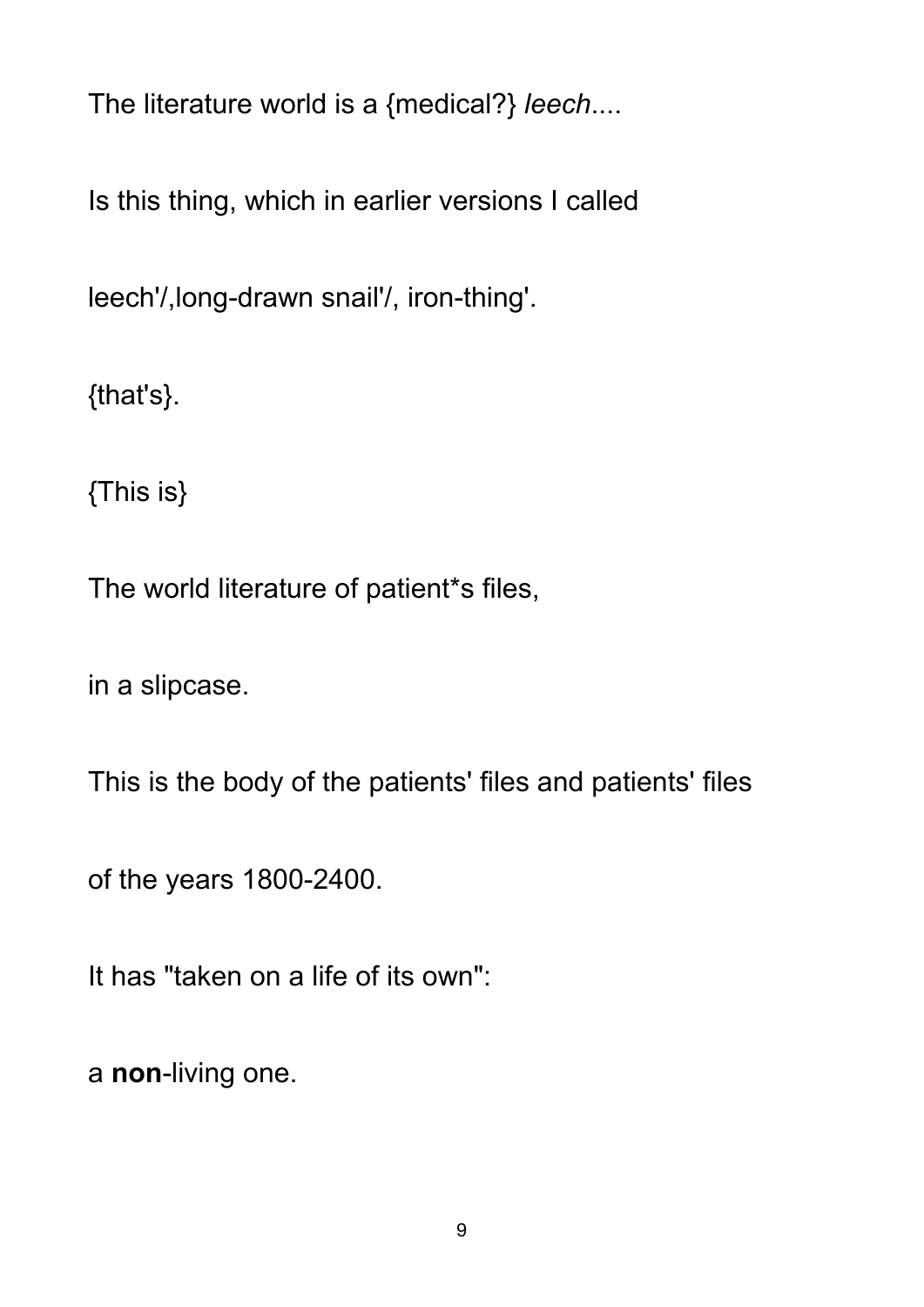The literature world is a {medical?} *leech*....

Is this thing, which in earlier versions I called

leech'/,long-drawn snail'/, iron-thing'.

{that's}.

{This is}

The world literature of patient\*s files,

in a slipcase.

This is the body of the patients' files and patients' files

of the years 1800-2400.

It has "taken on a life of its own":

a **non**-living one.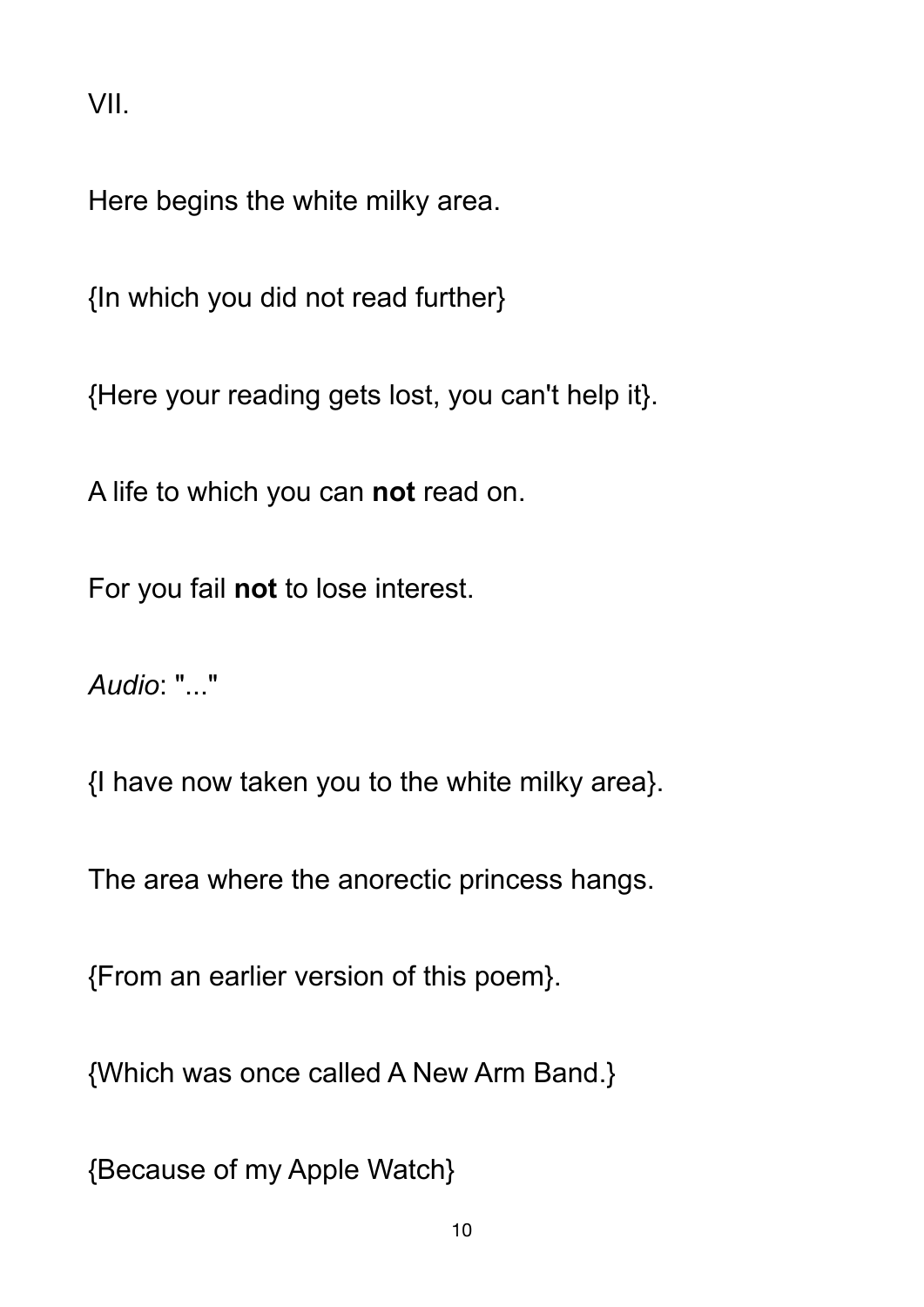VII.

Here begins the white milky area.

{In which you did not read further}

{Here your reading gets lost, you can't help it}.

A life to which you can **not** read on.

For you fail **not** to lose interest.

*Audio*: "..."

{I have now taken you to the white milky area}.

The area where the anorectic princess hangs.

{From an earlier version of this poem}.

{Which was once called A New Arm Band.}

{Because of my Apple Watch}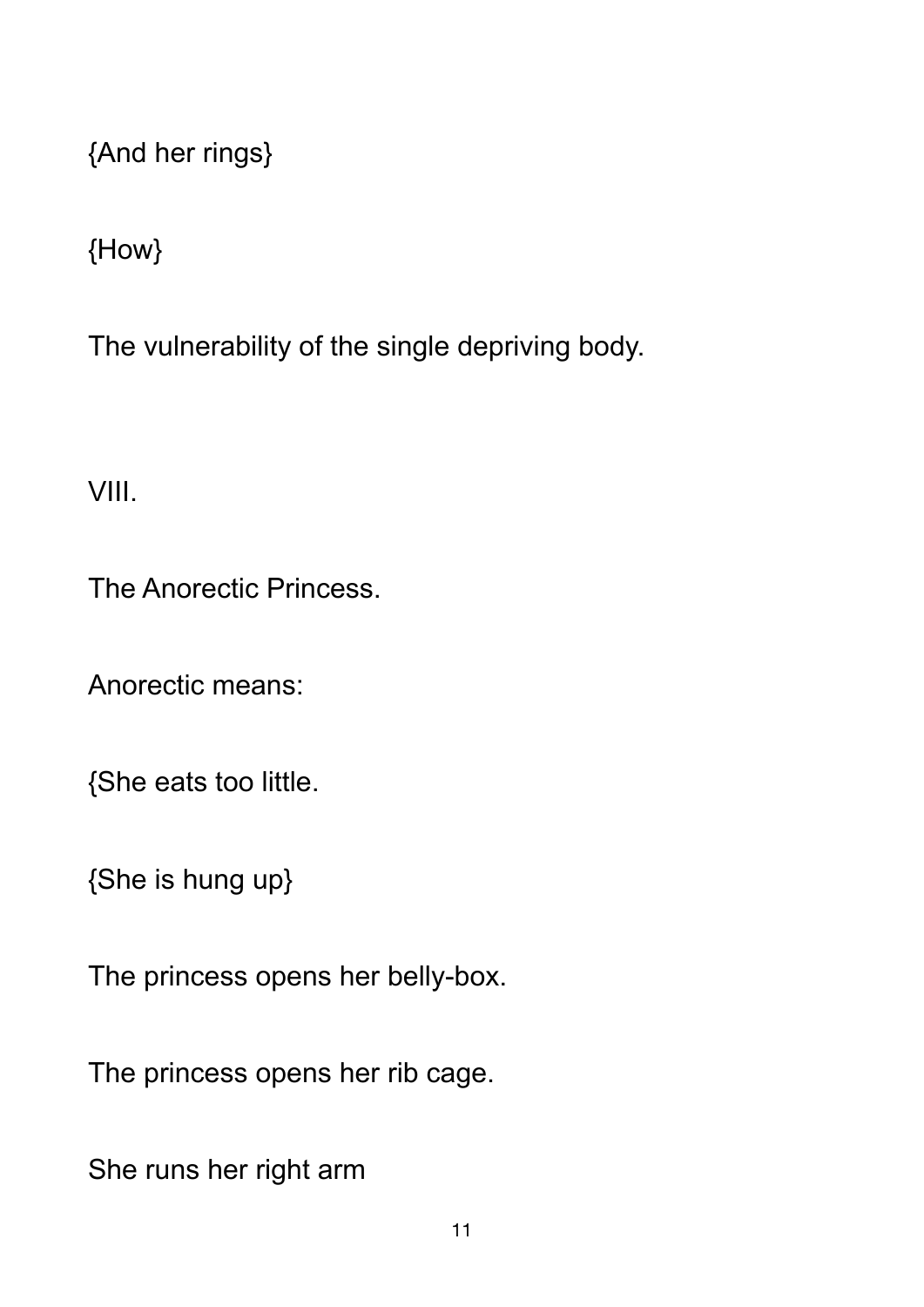{And her rings}

{How}

The vulnerability of the single depriving body.

VIII.

The Anorectic Princess.

Anorectic means:

{She eats too little.

{She is hung up}

The princess opens her belly-box.

The princess opens her rib cage.

She runs her right arm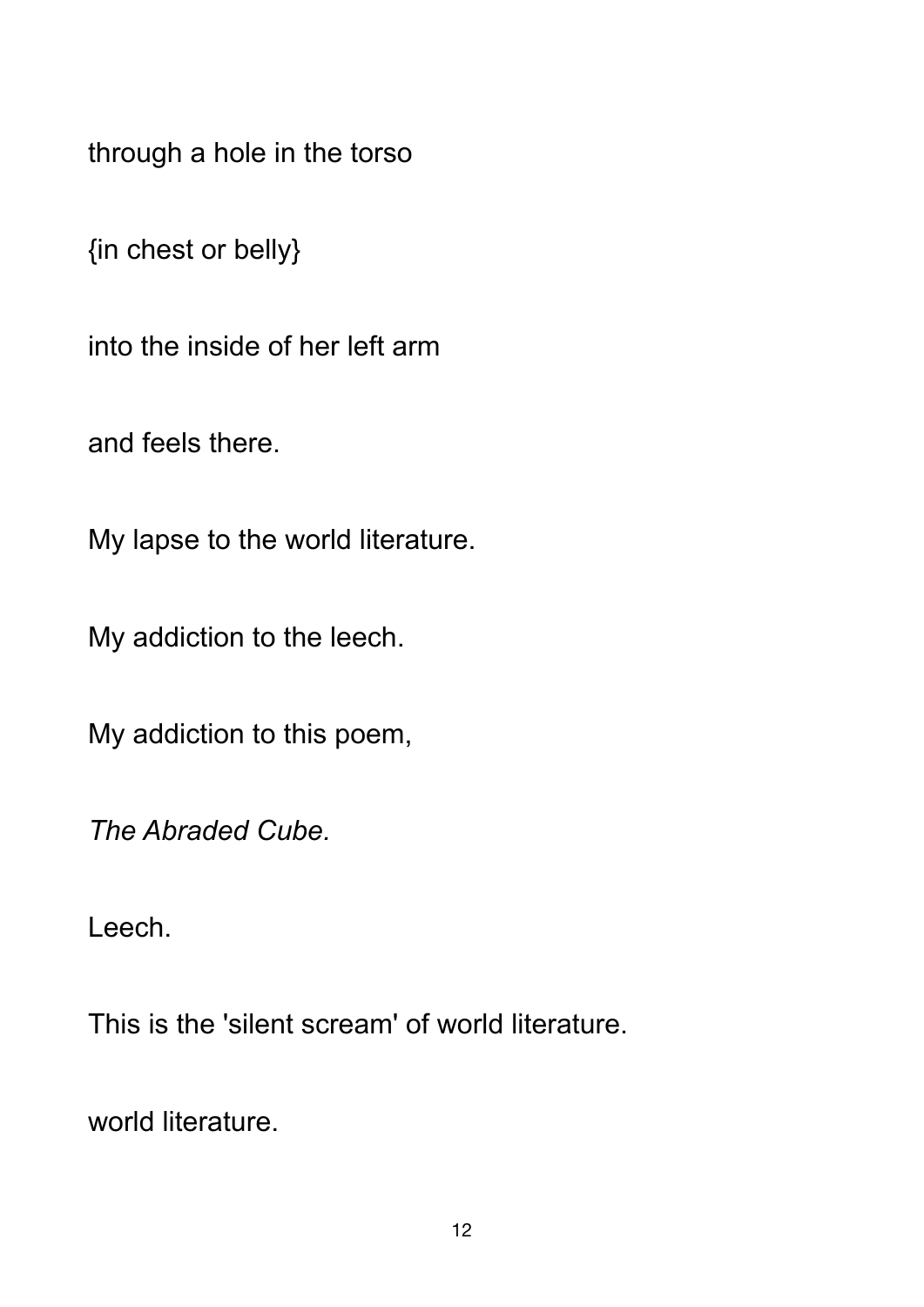through a hole in the torso

{in chest or belly}

into the inside of her left arm

and feels there.

My lapse to the world literature.

My addiction to the leech.

My addiction to this poem,

*The Abraded Cube.* 

Leech.

This is the 'silent scream' of world literature.

world literature.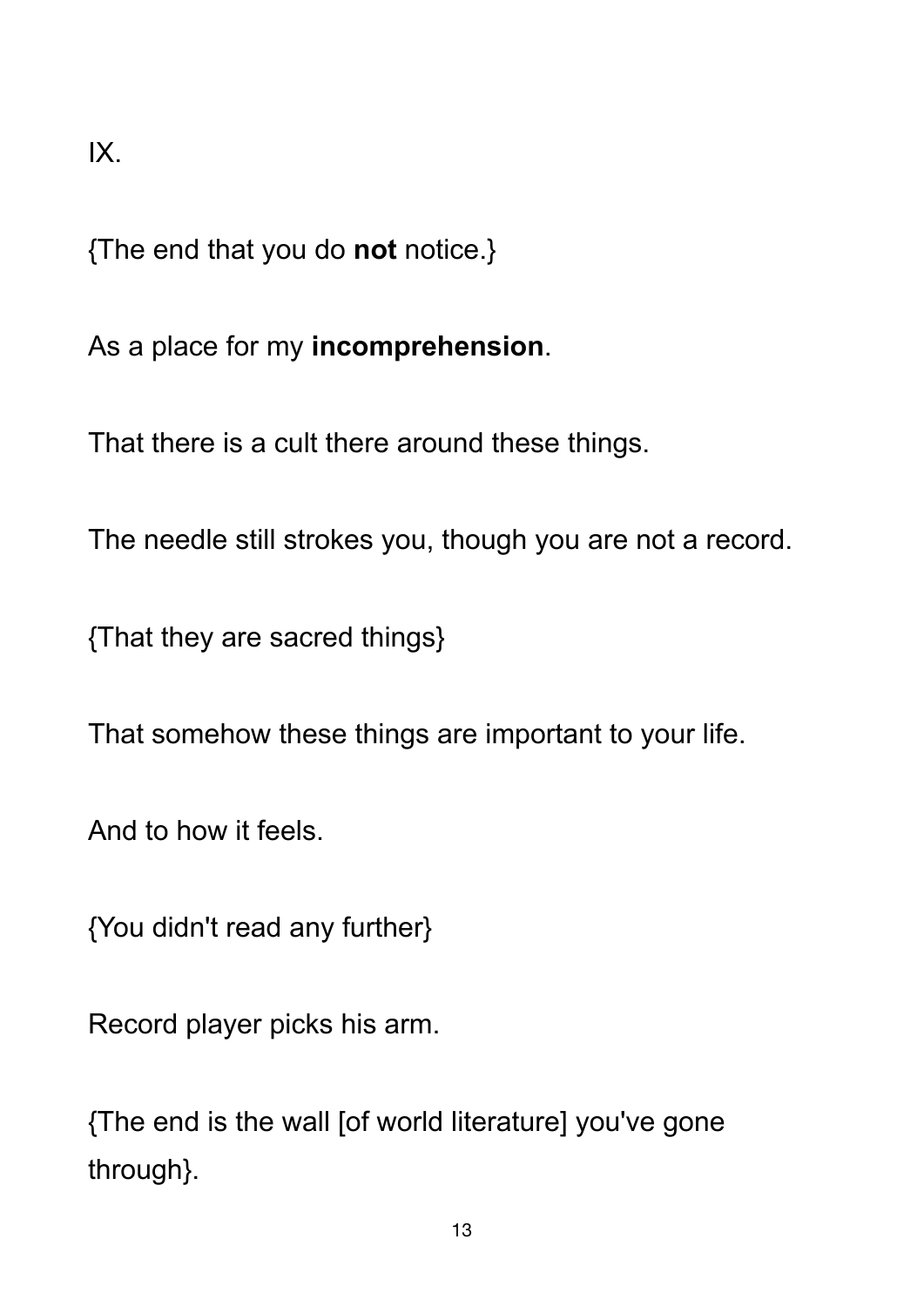IX.

{The end that you do **not** notice.}

As a place for my **incomprehension**.

That there is a cult there around these things.

The needle still strokes you, though you are not a record.

{That they are sacred things}

That somehow these things are important to your life.

And to how it feels.

{You didn't read any further}

Record player picks his arm.

{The end is the wall [of world literature] you've gone through}.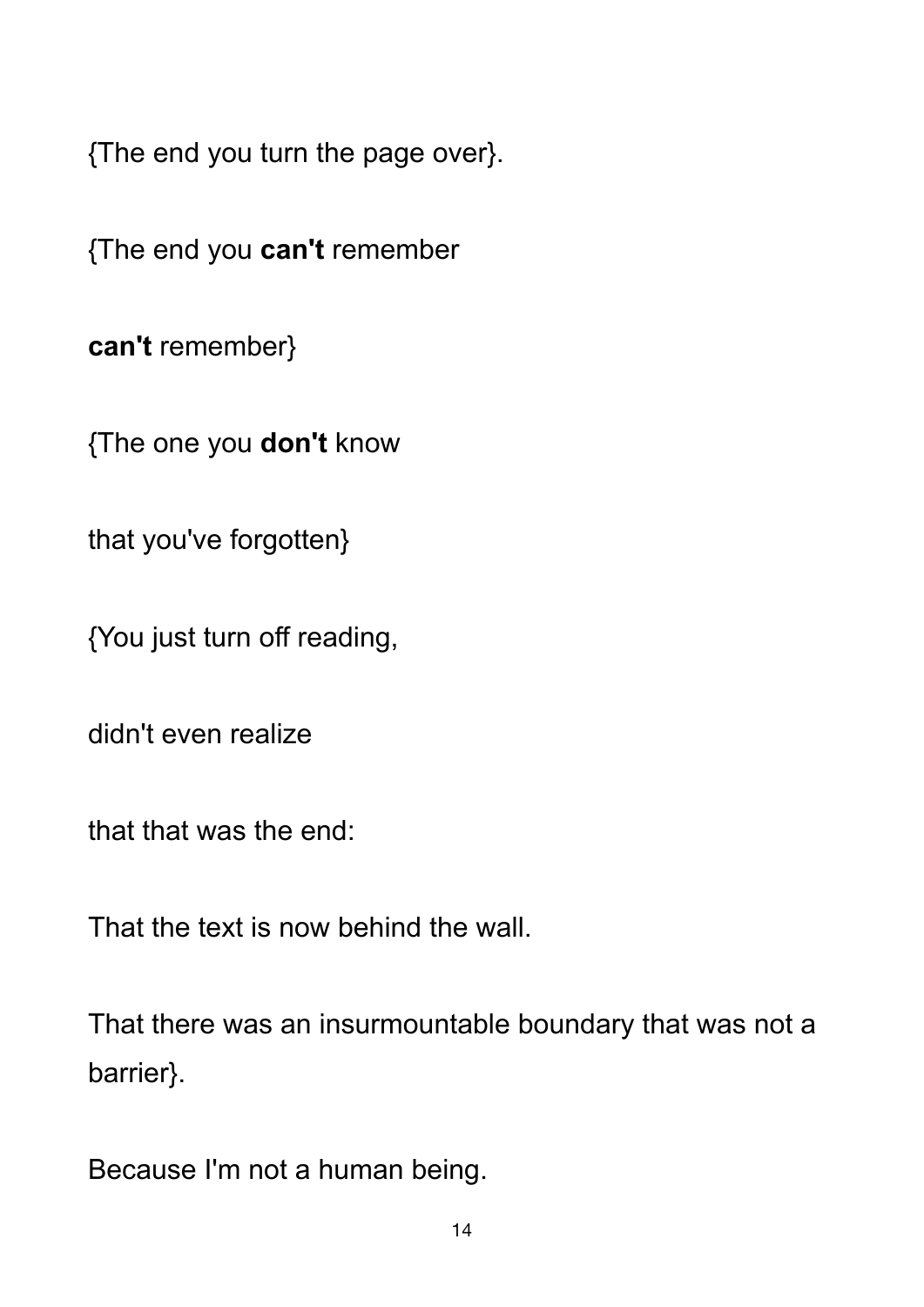{The end you turn the page over}.

{The end you **can't** remember

**can't** remember}

{The one you **don't** know

that you've forgotten}

{You just turn off reading,

didn't even realize

that that was the end:

That the text is now behind the wall.

That there was an insurmountable boundary that was not a barrier}.

Because I'm not a human being.